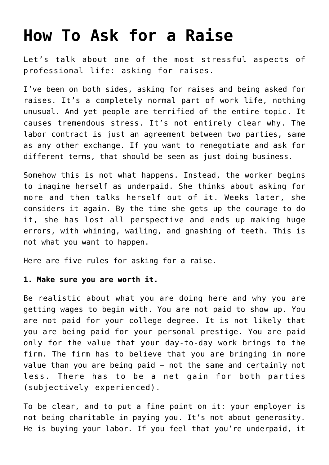# **[How To Ask for a Raise](https://intellectualtakeout.org/2017/09/how-to-ask-for-a-raise/)**

Let's talk about one of the most stressful aspects of professional life: asking for raises.

I've been on both sides, asking for raises and being asked for raises. It's a completely normal part of work life, nothing unusual. And yet people are terrified of the entire topic. It causes tremendous stress. It's not entirely clear why. The labor contract is just an agreement between two parties, same as any other exchange. If you want to renegotiate and ask for different terms, that should be seen as just doing business.

Somehow this is not what happens. Instead, the worker begins to imagine herself as underpaid. She thinks about asking for more and then talks herself out of it. Weeks later, she considers it again. By the time she gets up the courage to do it, she has lost all perspective and ends up making huge errors, with whining, wailing, and gnashing of teeth. This is not what you want to happen.

Here are five rules for asking for a raise.

## **1. Make sure you are worth it.**

Be realistic about what you are doing here and why you are getting wages to begin with. You are not paid to show up. You are not paid for your college degree. It is not likely that you are being paid for your personal prestige. You are paid only for the value that your day-to-day work brings to the firm. The firm has to believe that you are bringing in more value than you are being paid – not the same and certainly not less. There has to be a net gain for both parties (subjectively experienced).

To be clear, and to put a fine point on it: your employer is not being charitable in paying you. It's not about generosity. He is buying your labor. If you feel that you're underpaid, it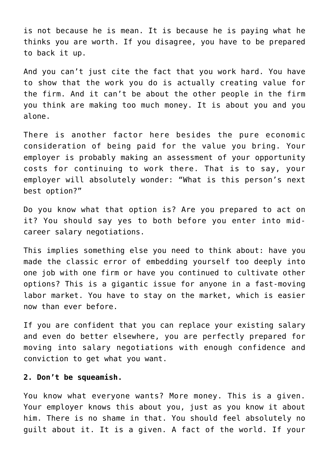is not because he is mean. It is because he is paying what he thinks you are worth. If you disagree, you have to be prepared to back it up.

And you can't just cite the fact that you work hard. You have to show that the work you do is actually creating value for the firm. And it can't be about the other people in the firm you think are making too much money. It is about you and you alone.

There is another factor here besides the pure economic consideration of being paid for the value you bring. Your employer is probably making an assessment of your opportunity costs for continuing to work there. That is to say, your employer will absolutely wonder: "What is this person's next best option?"

Do you know what that option is? Are you prepared to act on it? You should say yes to both before you enter into midcareer salary negotiations.

This implies something else you need to think about: have you made the classic error of embedding yourself too deeply into one job with one firm or have you continued to cultivate other options? This is a gigantic issue for anyone in a fast-moving labor market. You have to stay on the market, which is easier now than ever before.

If you are confident that you can replace your existing salary and even do better elsewhere, you are perfectly prepared for moving into salary negotiations with enough confidence and conviction to get what you want.

# **2. Don't be squeamish.**

You know what everyone wants? More money. This is a given. Your employer knows this about you, just as you know it about him. There is no shame in that. You should feel absolutely no guilt about it. It is a given. A fact of the world. If your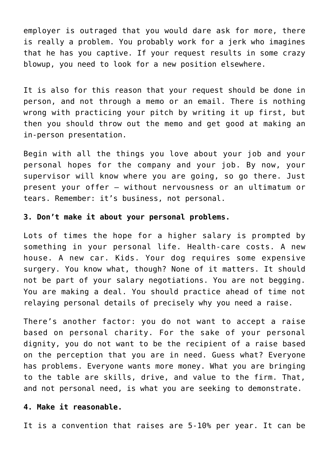employer is outraged that you would dare ask for more, there is really a problem. You probably work for a jerk who imagines that he has you captive. If your request results in some crazy blowup, you need to look for a new position elsewhere.

It is also for this reason that your request should be done in person, and not through a memo or an email. There is nothing wrong with practicing your pitch by writing it up first, but then you should throw out the memo and get good at making an in-person presentation.

Begin with all the things you love about your job and your personal hopes for the company and your job. By now, your supervisor will know where you are going, so go there. Just present your offer – without nervousness or an ultimatum or tears. Remember: it's business, not personal.

#### **3. Don't make it about your personal problems.**

Lots of times the hope for a higher salary is prompted by something in your personal life. Health-care costs. A new house. A new car. Kids. Your dog requires some expensive surgery. You know what, though? None of it matters. It should not be part of your salary negotiations. You are not begging. You are making a deal. You should practice ahead of time not relaying personal details of precisely why you need a raise.

There's another factor: you do not want to accept a raise based on personal charity. For the sake of your personal dignity, you do not want to be the recipient of a raise based on the perception that you are in need. Guess what? Everyone has problems. Everyone wants more money. What you are bringing to the table are skills, drive, and value to the firm. That, and not personal need, is what you are seeking to demonstrate.

#### **4. Make it reasonable.**

It is a convention that raises are 5-10% per year. It can be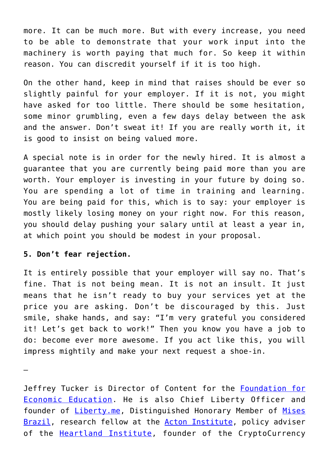more. It can be much more. But with every increase, you need to be able to demonstrate that your work input into the machinery is worth paying that much for. So keep it within reason. You can discredit yourself if it is too high.

On the other hand, keep in mind that raises should be ever so slightly painful for your employer. If it is not, you might have asked for too little. There should be some hesitation, some minor grumbling, even a few days delay between the ask and the answer. Don't sweat it! If you are really worth it, it is good to insist on being valued more.

A special note is in order for the newly hired. It is almost a guarantee that you are currently being paid more than you are worth. Your employer is investing in your future by doing so. You are spending a lot of time in training and learning. You are being paid for this, which is to say: your employer is mostly likely losing money on your right now. For this reason, you should delay pushing your salary until at least a year in, at which point you should be modest in your proposal.

### **5. Don't fear rejection.**

It is entirely possible that your employer will say no. That's fine. That is not being mean. It is not an insult. It just means that he isn't ready to buy your services yet at the price you are asking. Don't be discouraged by this. Just smile, shake hands, and say: "I'm very grateful you considered it! Let's get back to work!" Then you know you have a job to do: become ever more awesome. If you act like this, you will impress mightily and make your next request a shoe-in.

–

Jeffrey Tucker is Director of Content for the [Foundation for](https://fee.org/) [Economic Education.](https://fee.org/) He is also Chief Liberty Officer and founder of **Liberty.me**, Distinguished Honorary Member of [Mises](http://www.mises.org.br/) [Brazil,](http://www.mises.org.br/) research fellow at the **[Acton Institute](http://www.acton.org/)**, policy adviser of the **[Heartland Institute](https://www.heartland.org/index.html)**, founder of the CryptoCurrency